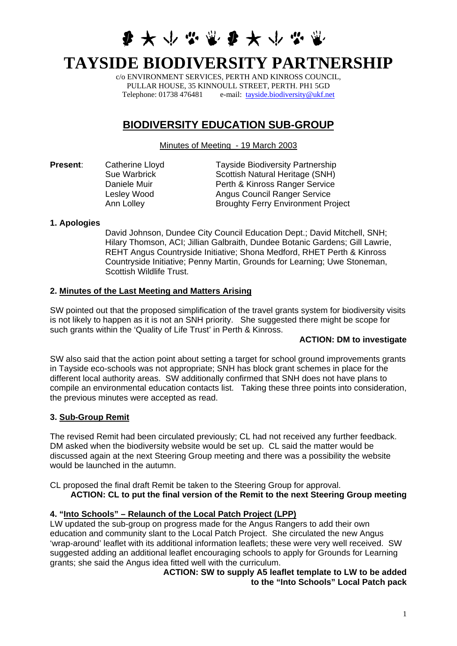# **多大小心需要大小心需**

# **TAYSIDE BIODIVERSITY PARTNERSHIP**

c/o ENVIRONMENT SERVICES, PERTH AND KINROSS COUNCIL, PULLAR HOUSE, 35 KINNOULL STREET, PERTH. PH1 5GD Telephone: 01738 476481 e-mail: [tayside.biodiversity@ukf.net](mailto:tayside.biodiversity@ukf.net)

# **BIODIVERSITY EDUCATION SUB-GROUP**

Minutes of Meeting - 19 March 2003

| Present: | Catherine Lloyd | <b>Tayside Biodiversity Partnership</b>   |
|----------|-----------------|-------------------------------------------|
|          | Sue Warbrick    | Scottish Natural Heritage (SNH)           |
|          | Daniele Muir    | Perth & Kinross Ranger Service            |
|          | Lesley Wood     | <b>Angus Council Ranger Service</b>       |
|          | Ann Lolley      | <b>Broughty Ferry Environment Project</b> |
|          |                 |                                           |

#### **1. Apologies**

David Johnson, Dundee City Council Education Dept.; David Mitchell, SNH; Hilary Thomson, ACI; Jillian Galbraith, Dundee Botanic Gardens; Gill Lawrie, REHT Angus Countryside Initiative; Shona Medford, RHET Perth & Kinross Countryside Initiative; Penny Martin, Grounds for Learning; Uwe Stoneman, Scottish Wildlife Trust.

#### **2. Minutes of the Last Meeting and Matters Arising**

SW pointed out that the proposed simplification of the travel grants system for biodiversity visits is not likely to happen as it is not an SNH priority. She suggested there might be scope for such grants within the 'Quality of Life Trust' in Perth & Kinross.

#### **ACTION: DM to investigate**

SW also said that the action point about setting a target for school ground improvements grants in Tayside eco-schools was not appropriate; SNH has block grant schemes in place for the different local authority areas. SW additionally confirmed that SNH does not have plans to compile an environmental education contacts list. Taking these three points into consideration, the previous minutes were accepted as read.

#### **3. Sub-Group Remit**

The revised Remit had been circulated previously; CL had not received any further feedback. DM asked when the biodiversity website would be set up. CL said the matter would be discussed again at the next Steering Group meeting and there was a possibility the website would be launched in the autumn.

CL proposed the final draft Remit be taken to the Steering Group for approval.

**ACTION: CL to put the final version of the Remit to the next Steering Group meeting** 

# **4. "Into Schools" – Relaunch of the Local Patch Project (LPP)**

LW updated the sub-group on progress made for the Angus Rangers to add their own education and community slant to the Local Patch Project. She circulated the new Angus 'wrap-around' leaflet with its additional information leaflets; these were very well received. SW suggested adding an additional leaflet encouraging schools to apply for Grounds for Learning grants; she said the Angus idea fitted well with the curriculum.

#### **ACTION: SW to supply A5 leaflet template to LW to be added to the "Into Schools" Local Patch pack**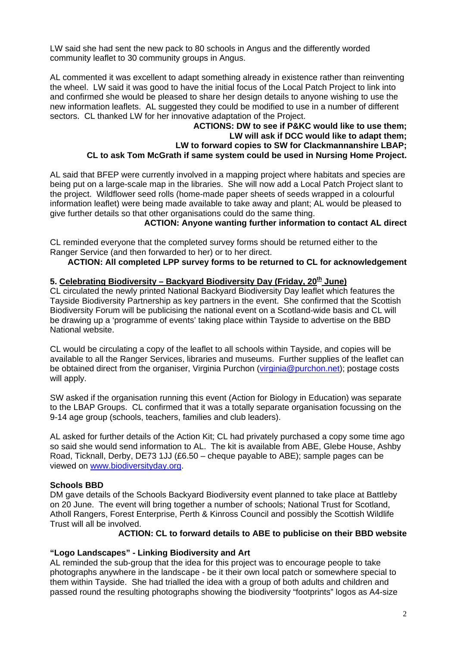LW said she had sent the new pack to 80 schools in Angus and the differently worded community leaflet to 30 community groups in Angus.

AL commented it was excellent to adapt something already in existence rather than reinventing the wheel. LW said it was good to have the initial focus of the Local Patch Project to link into and confirmed she would be pleased to share her design details to anyone wishing to use the new information leaflets. AL suggested they could be modified to use in a number of different sectors. CL thanked LW for her innovative adaptation of the Project.

#### **ACTIONS: DW to see if P&KC would like to use them; LW will ask if DCC would like to adapt them; LW to forward copies to SW for Clackmannanshire LBAP; CL to ask Tom McGrath if same system could be used in Nursing Home Project.**

AL said that BFEP were currently involved in a mapping project where habitats and species are being put on a large-scale map in the libraries. She will now add a Local Patch Project slant to the project. Wildflower seed rolls (home-made paper sheets of seeds wrapped in a colourful information leaflet) were being made available to take away and plant; AL would be pleased to give further details so that other organisations could do the same thing.

 **ACTION: Anyone wanting further information to contact AL direct** 

CL reminded everyone that the completed survey forms should be returned either to the Ranger Service (and then forwarded to her) or to her direct.

# **ACTION: All completed LPP survey forms to be returned to CL for acknowledgement**

#### 5. Celebrating Biodiversity – Backyard Biodiversity Day (Friday, 20<sup>th</sup> June)

CL circulated the newly printed National Backyard Biodiversity Day leaflet which features the Tayside Biodiversity Partnership as key partners in the event. She confirmed that the Scottish Biodiversity Forum will be publicising the national event on a Scotland-wide basis and CL will be drawing up a 'programme of events' taking place within Tayside to advertise on the BBD National website.

CL would be circulating a copy of the leaflet to all schools within Tayside, and copies will be available to all the Ranger Services, libraries and museums. Further supplies of the leaflet can be obtained direct from the organiser, Virginia Purchon ([virginia@purchon.net\)](mailto:virginia@purchon.net); postage costs will apply.

SW asked if the organisation running this event (Action for Biology in Education) was separate to the LBAP Groups. CL confirmed that it was a totally separate organisation focussing on the 9-14 age group (schools, teachers, families and club leaders).

AL asked for further details of the Action Kit; CL had privately purchased a copy some time ago so said she would send information to AL. The kit is available from ABE, Glebe House, Ashby Road, Ticknall, Derby, DE73 1JJ (£6.50 – cheque payable to ABE); sample pages can be viewed on [www.biodiversityday.org](http://www.biodiversityday.org/).

#### **Schools BBD**

DM gave details of the Schools Backyard Biodiversity event planned to take place at Battleby on 20 June. The event will bring together a number of schools; National Trust for Scotland, Atholl Rangers, Forest Enterprise, Perth & Kinross Council and possibly the Scottish Wildlife Trust will all be involved.

**ACTION: CL to forward details to ABE to publicise on their BBD website** 

#### **"Logo Landscapes" - Linking Biodiversity and Art**

AL reminded the sub-group that the idea for this project was to encourage people to take photographs anywhere in the landscape - be it their own local patch or somewhere special to them within Tayside. She had trialled the idea with a group of both adults and children and passed round the resulting photographs showing the biodiversity "footprints" logos as A4-size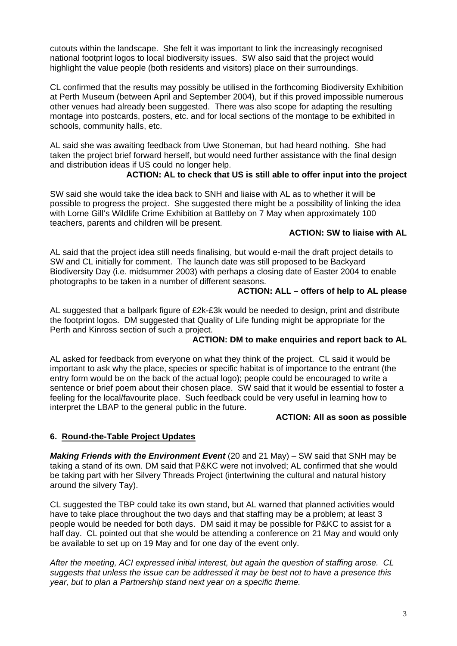cutouts within the landscape. She felt it was important to link the increasingly recognised national footprint logos to local biodiversity issues. SW also said that the project would highlight the value people (both residents and visitors) place on their surroundings.

CL confirmed that the results may possibly be utilised in the forthcoming Biodiversity Exhibition at Perth Museum (between April and September 2004), but if this proved impossible numerous other venues had already been suggested. There was also scope for adapting the resulting montage into postcards, posters, etc. and for local sections of the montage to be exhibited in schools, community halls, etc.

AL said she was awaiting feedback from Uwe Stoneman, but had heard nothing. She had taken the project brief forward herself, but would need further assistance with the final design and distribution ideas if US could no longer help.

# **ACTION: AL to check that US is still able to offer input into the project**

SW said she would take the idea back to SNH and liaise with AL as to whether it will be possible to progress the project. She suggested there might be a possibility of linking the idea with Lorne Gill's Wildlife Crime Exhibition at Battleby on 7 May when approximately 100 teachers, parents and children will be present.

#### **ACTION: SW to liaise with AL**

AL said that the project idea still needs finalising, but would e-mail the draft project details to SW and CL initially for comment. The launch date was still proposed to be Backyard Biodiversity Day (i.e. midsummer 2003) with perhaps a closing date of Easter 2004 to enable photographs to be taken in a number of different seasons.

#### **ACTION: ALL – offers of help to AL please**

AL suggested that a ballpark figure of £2k-£3k would be needed to design, print and distribute the footprint logos. DM suggested that Quality of Life funding might be appropriate for the Perth and Kinross section of such a project.

#### **ACTION: DM to make enquiries and report back to AL**

AL asked for feedback from everyone on what they think of the project. CL said it would be important to ask why the place, species or specific habitat is of importance to the entrant (the entry form would be on the back of the actual logo); people could be encouraged to write a sentence or brief poem about their chosen place. SW said that it would be essential to foster a feeling for the local/favourite place. Such feedback could be very useful in learning how to interpret the LBAP to the general public in the future.

#### **ACTION: All as soon as possible**

#### **6. Round-the-Table Project Updates**

*Making Friends with the Environment Event* (20 and 21 May) – SW said that SNH may be taking a stand of its own. DM said that P&KC were not involved; AL confirmed that she would be taking part with her Silvery Threads Project (intertwining the cultural and natural history around the silvery Tay).

CL suggested the TBP could take its own stand, but AL warned that planned activities would have to take place throughout the two days and that staffing may be a problem; at least 3 people would be needed for both days. DM said it may be possible for P&KC to assist for a half day. CL pointed out that she would be attending a conference on 21 May and would only be available to set up on 19 May and for one day of the event only.

*After the meeting, ACI expressed initial interest, but again the question of staffing arose. CL suggests that unless the issue can be addressed it may be best not to have a presence this year, but to plan a Partnership stand next year on a specific theme.*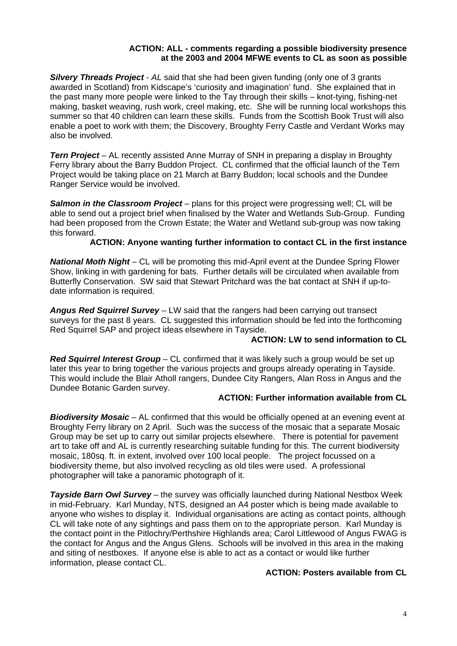#### **ACTION: ALL - comments regarding a possible biodiversity presence at the 2003 and 2004 MFWE events to CL as soon as possible**

*Silvery Threads Project - AL* said that she had been given funding (only one of 3 grants awarded in Scotland) from Kidscape's 'curiosity and imagination' fund. She explained that in the past many more people were linked to the Tay through their skills – knot-tying, fishing-net making, basket weaving, rush work, creel making, etc. She will be running local workshops this summer so that 40 children can learn these skills. Funds from the Scottish Book Trust will also enable a poet to work with them; the Discovery, Broughty Ferry Castle and Verdant Works may also be involved.

*Tern Project* – AL recently assisted Anne Murray of SNH in preparing a display in Broughty Ferry library about the Barry Buddon Project. CL confirmed that the official launch of the Tern Project would be taking place on 21 March at Barry Buddon; local schools and the Dundee Ranger Service would be involved.

**Salmon in the Classroom Project** – plans for this project were progressing well; CL will be able to send out a project brief when finalised by the Water and Wetlands Sub-Group. Funding had been proposed from the Crown Estate; the Water and Wetland sub-group was now taking this forward.

#### **ACTION: Anyone wanting further information to contact CL in the first instance**

*National Moth Night* – CL will be promoting this mid-April event at the Dundee Spring Flower Show, linking in with gardening for bats. Further details will be circulated when available from Butterfly Conservation. SW said that Stewart Pritchard was the bat contact at SNH if up-todate information is required.

*Angus Red Squirrel Survey* – LW said that the rangers had been carrying out transect surveys for the past 8 years. CL suggested this information should be fed into the forthcoming Red Squirrel SAP and project ideas elsewhere in Tayside.

#### **ACTION: LW to send information to CL**

*Red Squirrel Interest Group* – CL confirmed that it was likely such a group would be set up later this year to bring together the various projects and groups already operating in Tayside. This would include the Blair Atholl rangers, Dundee City Rangers, Alan Ross in Angus and the Dundee Botanic Garden survey.

#### **ACTION: Further information available from CL**

*Biodiversity Mosaic* – AL confirmed that this would be officially opened at an evening event at Broughty Ferry library on 2 April. Such was the success of the mosaic that a separate Mosaic Group may be set up to carry out similar projects elsewhere. There is potential for pavement art to take off and AL is currently researching suitable funding for this. The current biodiversity mosaic, 180sq. ft. in extent, involved over 100 local people. The project focussed on a biodiversity theme, but also involved recycling as old tiles were used. A professional photographer will take a panoramic photograph of it.

*Tayside Barn Owl Survey* – the survey was officially launched during National Nestbox Week in mid-February. Karl Munday, NTS, designed an A4 poster which is being made available to anyone who wishes to display it. Individual organisations are acting as contact points, although CL will take note of any sightings and pass them on to the appropriate person. Karl Munday is the contact point in the Pitlochry/Perthshire Highlands area; Carol Littlewood of Angus FWAG is the contact for Angus and the Angus Glens. Schools will be involved in this area in the making and siting of nestboxes. If anyone else is able to act as a contact or would like further information, please contact CL.

#### **ACTION: Posters available from CL**